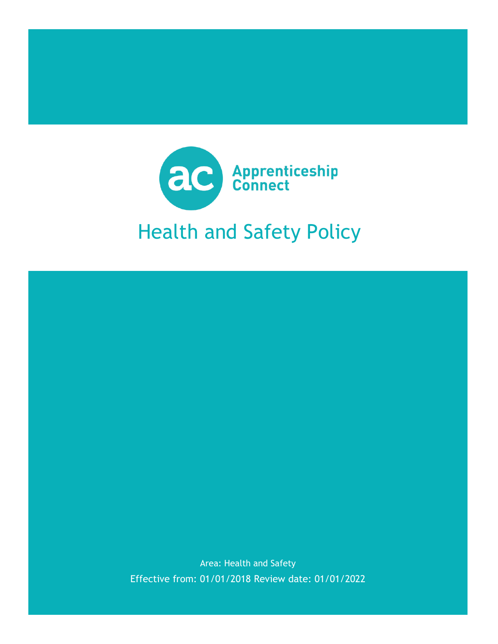

Area: Health and Safety Effective from: 01/01/2018 Review date: 01/01/2022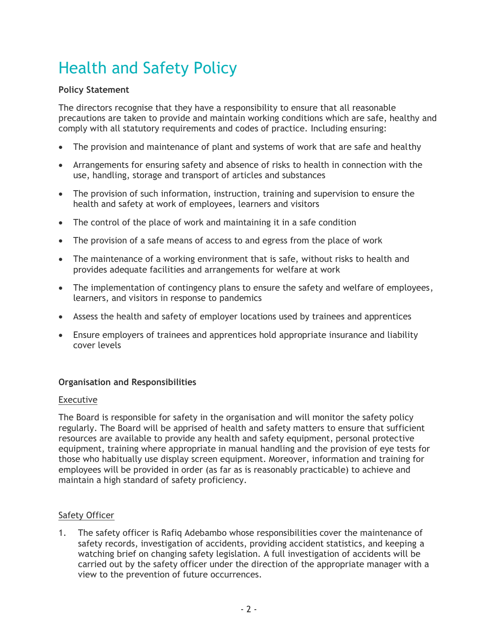# Health and Safety Policy

#### **Policy Statement**

The directors recognise that they have a responsibility to ensure that all reasonable precautions are taken to provide and maintain working conditions which are safe, healthy and comply with all statutory requirements and codes of practice. Including ensuring:

- The provision and maintenance of plant and systems of work that are safe and healthy
- Arrangements for ensuring safety and absence of risks to health in connection with the use, handling, storage and transport of articles and substances
- The provision of such information, instruction, training and supervision to ensure the health and safety at work of employees, learners and visitors
- The control of the place of work and maintaining it in a safe condition
- The provision of a safe means of access to and egress from the place of work
- The maintenance of a working environment that is safe, without risks to health and provides adequate facilities and arrangements for welfare at work
- The implementation of contingency plans to ensure the safety and welfare of employees, learners, and visitors in response to pandemics
- Assess the health and safety of employer locations used by trainees and apprentices
- Ensure employers of trainees and apprentices hold appropriate insurance and liability cover levels

# **Organisation and Responsibilities**

#### Executive

The Board is responsible for safety in the organisation and will monitor the safety policy regularly. The Board will be apprised of health and safety matters to ensure that sufficient resources are available to provide any health and safety equipment, personal protective equipment, training where appropriate in manual handling and the provision of eye tests for those who habitually use display screen equipment. Moreover, information and training for employees will be provided in order (as far as is reasonably practicable) to achieve and maintain a high standard of safety proficiency.

#### Safety Officer

1. The safety officer is Rafiq Adebambo whose responsibilities cover the maintenance of safety records, investigation of accidents, providing accident statistics, and keeping a watching brief on changing safety legislation. A full investigation of accidents will be carried out by the safety officer under the direction of the appropriate manager with a view to the prevention of future occurrences.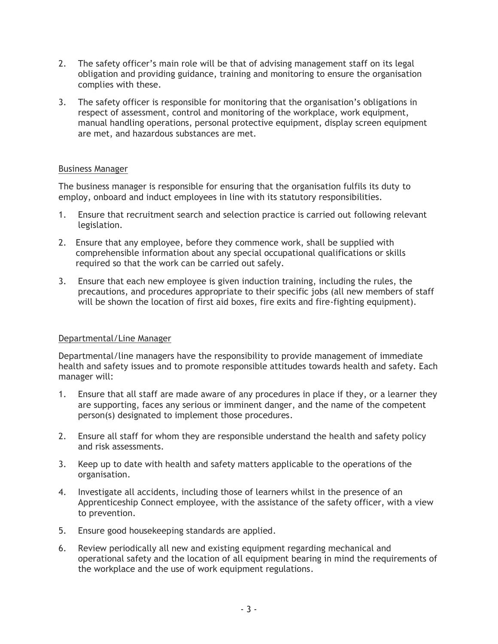- 2. The safety officer's main role will be that of advising management staff on its legal obligation and providing guidance, training and monitoring to ensure the organisation complies with these.
- 3. The safety officer is responsible for monitoring that the organisation's obligations in respect of assessment, control and monitoring of the workplace, work equipment, manual handling operations, personal protective equipment, display screen equipment are met, and hazardous substances are met.

#### Business Manager

The business manager is responsible for ensuring that the organisation fulfils its duty to employ, onboard and induct employees in line with its statutory responsibilities.

- 1. Ensure that recruitment search and selection practice is carried out following relevant legislation.
- 2. Ensure that any employee, before they commence work, shall be supplied with comprehensible information about any special occupational qualifications or skills required so that the work can be carried out safely.
- 3. Ensure that each new employee is given induction training, including the rules, the precautions, and procedures appropriate to their specific jobs (all new members of staff will be shown the location of first aid boxes, fire exits and fire-fighting equipment).

# Departmental/Line Manager

Departmental/line managers have the responsibility to provide management of immediate health and safety issues and to promote responsible attitudes towards health and safety. Each manager will:

- 1. Ensure that all staff are made aware of any procedures in place if they, or a learner they are supporting, faces any serious or imminent danger, and the name of the competent person(s) designated to implement those procedures.
- 2. Ensure all staff for whom they are responsible understand the health and safety policy and risk assessments.
- 3. Keep up to date with health and safety matters applicable to the operations of the organisation.
- 4. Investigate all accidents, including those of learners whilst in the presence of an Apprenticeship Connect employee, with the assistance of the safety officer, with a view to prevention.
- 5. Ensure good housekeeping standards are applied.
- 6. Review periodically all new and existing equipment regarding mechanical and operational safety and the location of all equipment bearing in mind the requirements of the workplace and the use of work equipment regulations.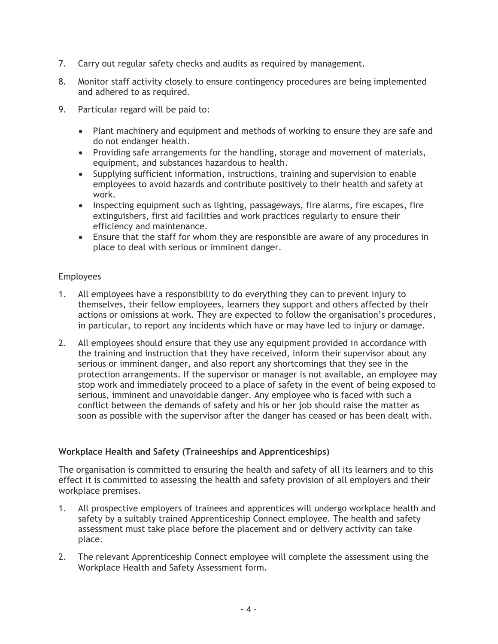- 7. Carry out regular safety checks and audits as required by management.
- 8. Monitor staff activity closely to ensure contingency procedures are being implemented and adhered to as required.
- 9. Particular regard will be paid to:
	- Plant machinery and equipment and methods of working to ensure they are safe and do not endanger health.
	- Providing safe arrangements for the handling, storage and movement of materials, equipment, and substances hazardous to health.
	- Supplying sufficient information, instructions, training and supervision to enable employees to avoid hazards and contribute positively to their health and safety at work.
	- Inspecting equipment such as lighting, passageways, fire alarms, fire escapes, fire extinguishers, first aid facilities and work practices regularly to ensure their efficiency and maintenance.
	- Ensure that the staff for whom they are responsible are aware of any procedures in place to deal with serious or imminent danger.

#### Employees

- 1. All employees have a responsibility to do everything they can to prevent injury to themselves, their fellow employees, learners they support and others affected by their actions or omissions at work. They are expected to follow the organisation's procedures, in particular, to report any incidents which have or may have led to injury or damage.
- 2. All employees should ensure that they use any equipment provided in accordance with the training and instruction that they have received, inform their supervisor about any serious or imminent danger, and also report any shortcomings that they see in the protection arrangements. If the supervisor or manager is not available, an employee may stop work and immediately proceed to a place of safety in the event of being exposed to serious, imminent and unavoidable danger. Any employee who is faced with such a conflict between the demands of safety and his or her job should raise the matter as soon as possible with the supervisor after the danger has ceased or has been dealt with.

# **Workplace Health and Safety (Traineeships and Apprenticeships)**

The organisation is committed to ensuring the health and safety of all its learners and to this effect it is committed to assessing the health and safety provision of all employers and their workplace premises.

- 1. All prospective employers of trainees and apprentices will undergo workplace health and safety by a suitably trained Apprenticeship Connect employee. The health and safety assessment must take place before the placement and or delivery activity can take place.
- 2. The relevant Apprenticeship Connect employee will complete the assessment using the Workplace Health and Safety Assessment form.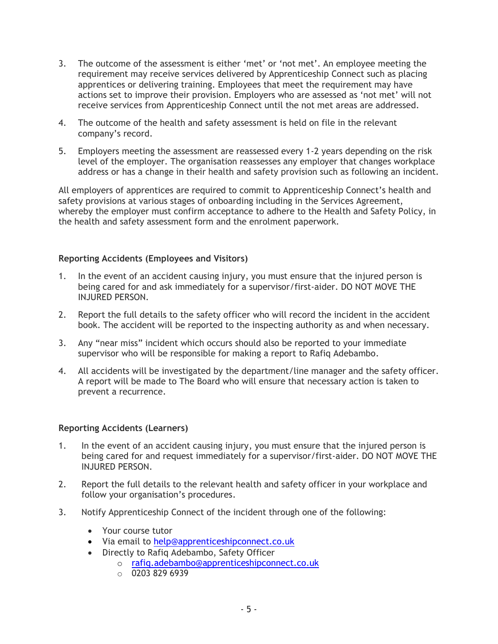- 3. The outcome of the assessment is either 'met' or 'not met'. An employee meeting the requirement may receive services delivered by Apprenticeship Connect such as placing apprentices or delivering training. Employees that meet the requirement may have actions set to improve their provision. Employers who are assessed as 'not met' will not receive services from Apprenticeship Connect until the not met areas are addressed.
- 4. The outcome of the health and safety assessment is held on file in the relevant company's record.
- 5. Employers meeting the assessment are reassessed every 1-2 years depending on the risk level of the employer. The organisation reassesses any employer that changes workplace address or has a change in their health and safety provision such as following an incident.

All employers of apprentices are required to commit to Apprenticeship Connect's health and safety provisions at various stages of onboarding including in the Services Agreement, whereby the employer must confirm acceptance to adhere to the Health and Safety Policy, in the health and safety assessment form and the enrolment paperwork.

#### **Reporting Accidents (Employees and Visitors)**

- 1. In the event of an accident causing injury, you must ensure that the injured person is being cared for and ask immediately for a supervisor/first-aider. DO NOT MOVE THE INJURED PERSON.
- 2. Report the full details to the safety officer who will record the incident in the accident book. The accident will be reported to the inspecting authority as and when necessary.
- 3. Any "near miss" incident which occurs should also be reported to your immediate supervisor who will be responsible for making a report to Rafiq Adebambo.
- 4. All accidents will be investigated by the department/line manager and the safety officer. A report will be made to The Board who will ensure that necessary action is taken to prevent a recurrence.

#### **Reporting Accidents (Learners)**

- 1. In the event of an accident causing injury, you must ensure that the injured person is being cared for and request immediately for a supervisor/first-aider. DO NOT MOVE THE INJURED PERSON.
- 2. Report the full details to the relevant health and safety officer in your workplace and follow your organisation's procedures.
- 3. Notify Apprenticeship Connect of the incident through one of the following:
	- Your course tutor
	- Via email to [help@apprenticeshipconnect.co.uk](mailto:help@apprenticeshipconnect.co.uk)
	- Directly to Rafiq Adebambo, Safety Officer
		- o [rafiq.adebambo@apprenticeshipconnect.co.uk](mailto:rafiq.adebambo@apprenticeshipconnect.co.uk)
		- $\circ$  0203 829 6939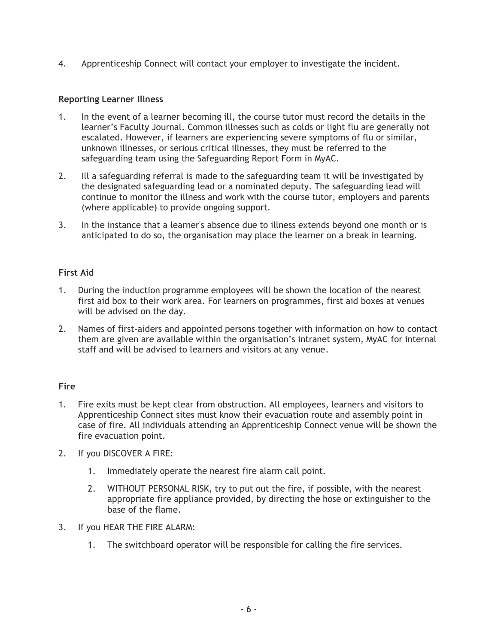4. Apprenticeship Connect will contact your employer to investigate the incident.

#### **Reporting Learner Illness**

- 1. In the event of a learner becoming ill, the course tutor must record the details in the learner's Faculty Journal. Common illnesses such as colds or light flu are generally not escalated. However, if learners are experiencing severe symptoms of flu or similar, unknown illnesses, or serious critical illnesses, they must be referred to the safeguarding team using the Safeguarding Report Form in MyAC.
- 2. Ill a safeguarding referral is made to the safeguarding team it will be investigated by the designated safeguarding lead or a nominated deputy. The safeguarding lead will continue to monitor the illness and work with the course tutor, employers and parents (where applicable) to provide ongoing support.
- 3. In the instance that a learner's absence due to illness extends beyond one month or is anticipated to do so, the organisation may place the learner on a break in learning.

# **First Aid**

- 1. During the induction programme employees will be shown the location of the nearest first aid box to their work area. For learners on programmes, first aid boxes at venues will be advised on the day.
- 2. Names of first-aiders and appointed persons together with information on how to contact them are given are available within the organisation's intranet system, MyAC for internal staff and will be advised to learners and visitors at any venue.

#### **Fire**

- 1. Fire exits must be kept clear from obstruction. All employees, learners and visitors to Apprenticeship Connect sites must know their evacuation route and assembly point in case of fire. All individuals attending an Apprenticeship Connect venue will be shown the fire evacuation point.
- 2. If you DISCOVER A FIRE:
	- 1. Immediately operate the nearest fire alarm call point.
	- 2. WITHOUT PERSONAL RISK, try to put out the fire, if possible, with the nearest appropriate fire appliance provided, by directing the hose or extinguisher to the base of the flame.
- 3. If you HEAR THE FIRE ALARM:
	- 1. The switchboard operator will be responsible for calling the fire services.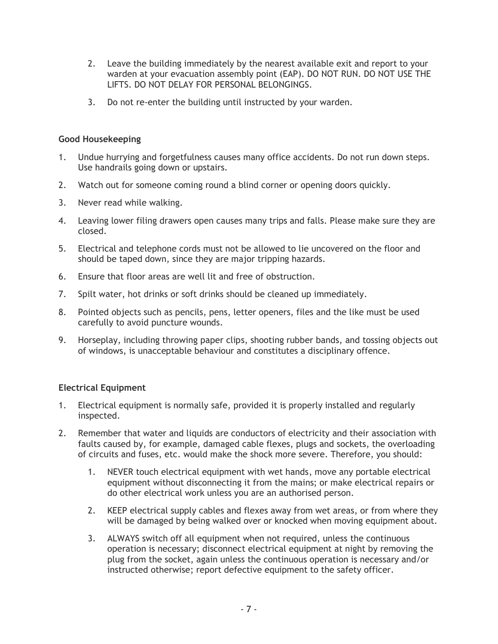- 2. Leave the building immediately by the nearest available exit and report to your warden at your evacuation assembly point (EAP). DO NOT RUN. DO NOT USE THE LIFTS. DO NOT DELAY FOR PERSONAL BELONGINGS.
- 3. Do not re-enter the building until instructed by your warden.

# **Good Housekeeping**

- 1. Undue hurrying and forgetfulness causes many office accidents. Do not run down steps. Use handrails going down or upstairs.
- 2. Watch out for someone coming round a blind corner or opening doors quickly.
- 3. Never read while walking.
- 4. Leaving lower filing drawers open causes many trips and falls. Please make sure they are closed.
- 5. Electrical and telephone cords must not be allowed to lie uncovered on the floor and should be taped down, since they are major tripping hazards.
- 6. Ensure that floor areas are well lit and free of obstruction.
- 7. Spilt water, hot drinks or soft drinks should be cleaned up immediately.
- 8. Pointed objects such as pencils, pens, letter openers, files and the like must be used carefully to avoid puncture wounds.
- 9. Horseplay, including throwing paper clips, shooting rubber bands, and tossing objects out of windows, is unacceptable behaviour and constitutes a disciplinary offence.

# **Electrical Equipment**

- 1. Electrical equipment is normally safe, provided it is properly installed and regularly inspected.
- 2. Remember that water and liquids are conductors of electricity and their association with faults caused by, for example, damaged cable flexes, plugs and sockets, the overloading of circuits and fuses, etc. would make the shock more severe. Therefore, you should:
	- 1. NEVER touch electrical equipment with wet hands, move any portable electrical equipment without disconnecting it from the mains; or make electrical repairs or do other electrical work unless you are an authorised person.
	- 2. KEEP electrical supply cables and flexes away from wet areas, or from where they will be damaged by being walked over or knocked when moving equipment about.
	- 3. ALWAYS switch off all equipment when not required, unless the continuous operation is necessary; disconnect electrical equipment at night by removing the plug from the socket, again unless the continuous operation is necessary and/or instructed otherwise; report defective equipment to the safety officer.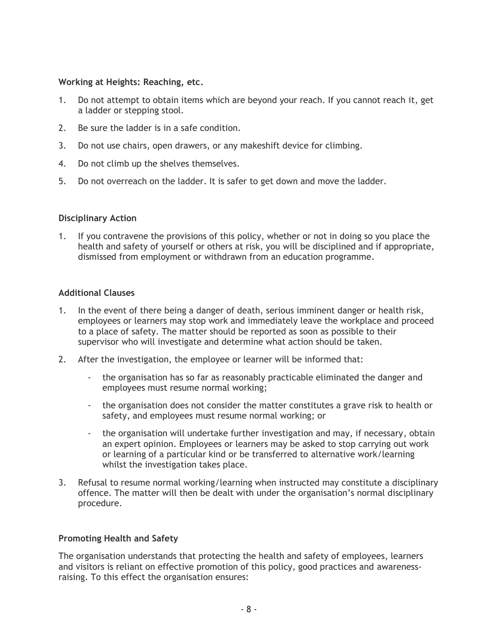#### **Working at Heights: Reaching, etc.**

- 1. Do not attempt to obtain items which are beyond your reach. If you cannot reach it, get a ladder or stepping stool.
- 2. Be sure the ladder is in a safe condition.
- 3. Do not use chairs, open drawers, or any makeshift device for climbing.
- 4. Do not climb up the shelves themselves.
- 5. Do not overreach on the ladder. It is safer to get down and move the ladder.

#### **Disciplinary Action**

1. If you contravene the provisions of this policy, whether or not in doing so you place the health and safety of yourself or others at risk, you will be disciplined and if appropriate, dismissed from employment or withdrawn from an education programme.

#### **Additional Clauses**

- 1. In the event of there being a danger of death, serious imminent danger or health risk, employees or learners may stop work and immediately leave the workplace and proceed to a place of safety. The matter should be reported as soon as possible to their supervisor who will investigate and determine what action should be taken.
- 2. After the investigation, the employee or learner will be informed that:
	- the organisation has so far as reasonably practicable eliminated the danger and employees must resume normal working;
	- the organisation does not consider the matter constitutes a grave risk to health or safety, and employees must resume normal working; or
	- the organisation will undertake further investigation and may, if necessary, obtain an expert opinion. Employees or learners may be asked to stop carrying out work or learning of a particular kind or be transferred to alternative work/learning whilst the investigation takes place.
- 3. Refusal to resume normal working/learning when instructed may constitute a disciplinary offence. The matter will then be dealt with under the organisation's normal disciplinary procedure.

#### **Promoting Health and Safety**

The organisation understands that protecting the health and safety of employees, learners and visitors is reliant on effective promotion of this policy, good practices and awarenessraising. To this effect the organisation ensures: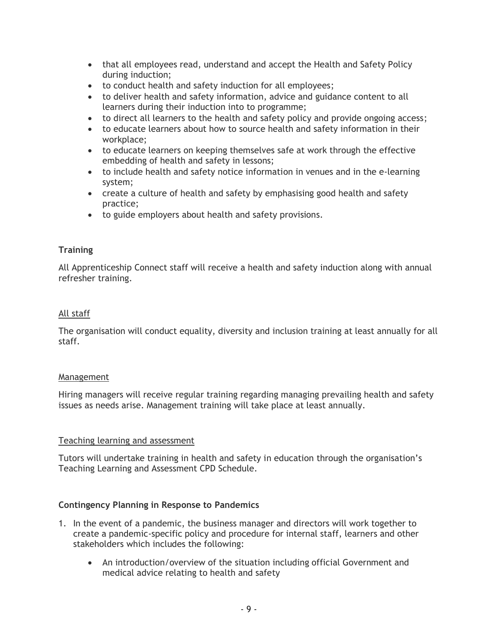- that all employees read, understand and accept the Health and Safety Policy during induction;
- to conduct health and safety induction for all employees;
- to deliver health and safety information, advice and guidance content to all learners during their induction into to programme;
- to direct all learners to the health and safety policy and provide ongoing access;
- to educate learners about how to source health and safety information in their workplace;
- to educate learners on keeping themselves safe at work through the effective embedding of health and safety in lessons;
- to include health and safety notice information in venues and in the e-learning system;
- create a culture of health and safety by emphasising good health and safety practice;
- to guide employers about health and safety provisions.

# **Training**

All Apprenticeship Connect staff will receive a health and safety induction along with annual refresher training.

# All staff

The organisation will conduct equality, diversity and inclusion training at least annually for all staff.

# Management

Hiring managers will receive regular training regarding managing prevailing health and safety issues as needs arise. Management training will take place at least annually.

# Teaching learning and assessment

Tutors will undertake training in health and safety in education through the organisation's Teaching Learning and Assessment CPD Schedule.

# **Contingency Planning in Response to Pandemics**

- 1. In the event of a pandemic, the business manager and directors will work together to create a pandemic-specific policy and procedure for internal staff, learners and other stakeholders which includes the following:
	- An introduction/overview of the situation including official Government and medical advice relating to health and safety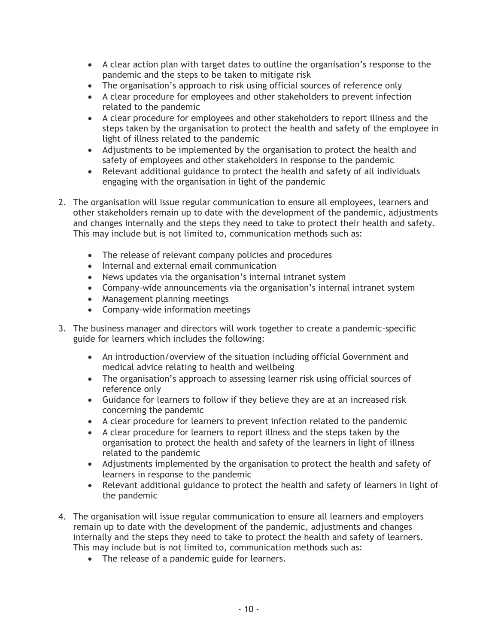- A clear action plan with target dates to outline the organisation's response to the pandemic and the steps to be taken to mitigate risk
- The organisation's approach to risk using official sources of reference only
- A clear procedure for employees and other stakeholders to prevent infection related to the pandemic
- A clear procedure for employees and other stakeholders to report illness and the steps taken by the organisation to protect the health and safety of the employee in light of illness related to the pandemic
- Adjustments to be implemented by the organisation to protect the health and safety of employees and other stakeholders in response to the pandemic
- Relevant additional guidance to protect the health and safety of all individuals engaging with the organisation in light of the pandemic
- 2. The organisation will issue regular communication to ensure all employees, learners and other stakeholders remain up to date with the development of the pandemic, adjustments and changes internally and the steps they need to take to protect their health and safety. This may include but is not limited to, communication methods such as:
	- The release of relevant company policies and procedures
	- Internal and external email communication
	- News updates via the organisation's internal intranet system
	- Company-wide announcements via the organisation's internal intranet system
	- Management planning meetings
	- Company-wide information meetings
- 3. The business manager and directors will work together to create a pandemic-specific guide for learners which includes the following:
	- An introduction/overview of the situation including official Government and medical advice relating to health and wellbeing
	- The organisation's approach to assessing learner risk using official sources of reference only
	- Guidance for learners to follow if they believe they are at an increased risk concerning the pandemic
	- A clear procedure for learners to prevent infection related to the pandemic
	- A clear procedure for learners to report illness and the steps taken by the organisation to protect the health and safety of the learners in light of illness related to the pandemic
	- Adjustments implemented by the organisation to protect the health and safety of learners in response to the pandemic
	- Relevant additional guidance to protect the health and safety of learners in light of the pandemic
- 4. The organisation will issue regular communication to ensure all learners and employers remain up to date with the development of the pandemic, adjustments and changes internally and the steps they need to take to protect the health and safety of learners. This may include but is not limited to, communication methods such as:
	- The release of a pandemic guide for learners.